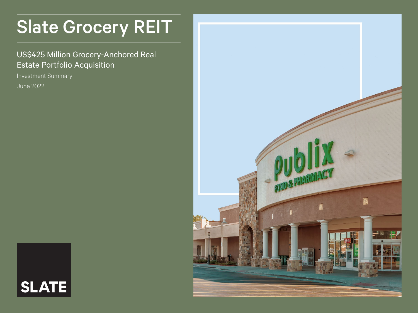# Slate Grocery REIT

### US\$425 Million Grocery-Anchored Real Estate Portfolio Acquisition

Investment Summary

June 2022



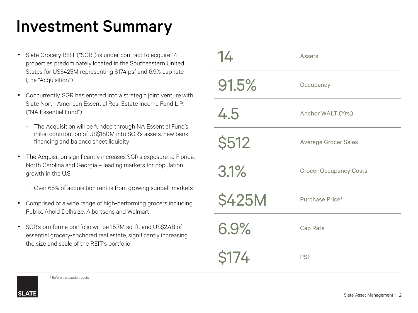### Investment Summary

- Slate Grocery REIT ("SGR") is under contract to acquire 14 properties predominately located in the Southeastern United States for US\$425M representing \$174 psf and 6.9% cap rate (the "Acquisition")
- Concurrently, SGR has entered into a strategic joint venture with Slate North American Essential Real Estate Income Fund L.P. ("NA Essential Fund")
	- The Acquisition will be funded through NA Essential Fund's initial contribution of US\$180M into SGR's assets, new bank financing and balance sheet liquidity
- The Acquisition significantly increases SGR's exposure to Florida, North Carolina and Georgia – leading markets for population growth in the U.S.
	- Over 65% of acquisition rent is from growing sunbelt markets
- Comprised of a wide range of high-performing grocers including Publix, Ahold Delhaize, Albertsons and Walmart
- SGR's pro forma portfolio will be 15.7M sq. ft. and US\$2.4B of essential grocery-anchored real estate, significantly increasing the size and scale of the REIT's portfolio

| 14            | Assets                        |  |
|---------------|-------------------------------|--|
| 91.5%         | Occupancy                     |  |
| 4.5           | Anchor WALT (Yrs.)            |  |
| <b>\$512</b>  | <b>Average Grocer Sales</b>   |  |
| 3.1%          | <b>Grocer Occupancy Costs</b> |  |
| <b>\$425M</b> | Purchase Price <sup>1</sup>   |  |
| 6.9%          | Cap Rate                      |  |
| <b>\$174</b>  | <b>PSF</b>                    |  |



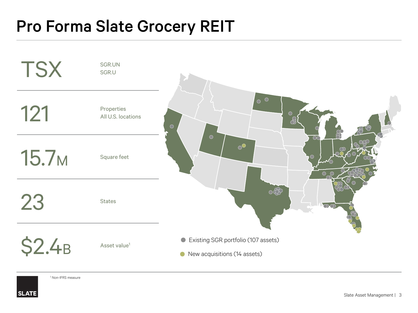## Pro Forma Slate Grocery REIT



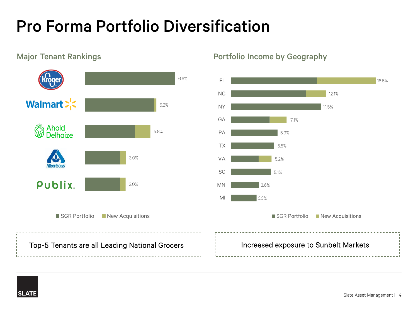# Pro Forma Portfolio Diversification



Major Tenant Rankings **Portfolio Income by Geography** 



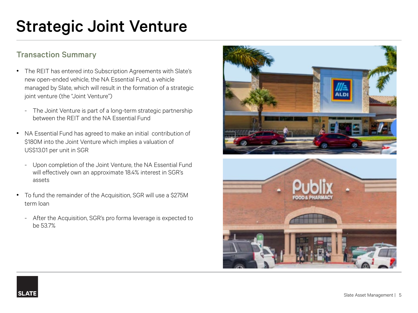## Strategic Joint Venture

### Transaction Summary

- The REIT has entered into Subscription Agreements with Slate's new open-ended vehicle, the NA Essential Fund, a vehicle managed by Slate, which will result in the formation of a strategic joint venture (the "Joint Venture")
	- The Joint Venture is part of a long-term strategic partnership between the REIT and the NA Essential Fund
- NA Essential Fund has agreed to make an initial contribution of \$180M into the Joint Venture which implies a valuation of US\$13.01 per unit in SGR
	- Upon completion of the Joint Venture, the NA Essential Fund will effectively own an approximate 18.4% interest in SGR's assets
- To fund the remainder of the Acquisition, SGR will use a \$275M term loan
	- After the Acquisition, SGR's pro forma leverage is expected to be 53.7%





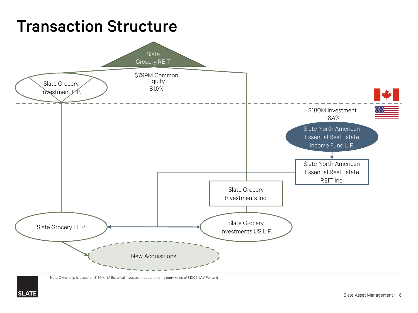### Transaction Structure



Note: Ownership is based on \$180M NA Essential Investment at a pro forma entry value of \$13.01 NAV Per Unit

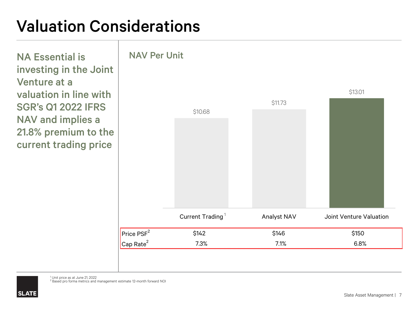### Valuation Considerations

NA Essential is investing in the Joint Venture at a valuation in line with SGR's Q1 2022 IFRS NAV and implies a 21.8% premium to the current trading price



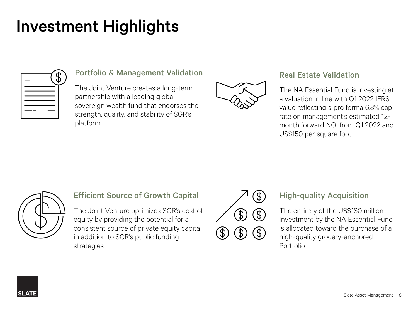### Investment Highlights

| P. |
|----|
|    |
|    |
|    |

#### Portfolio & Management Validation

The Joint Venture creates a long-term partnership with a leading global sovereign wealth fund that endorses the strength, quality, and stability of SGR's platform



#### Real Estate Validation

The NA Essential Fund is investing at a valuation in line with Q1 2022 IFRS value reflecting a pro forma 6.8% cap rate on management's estimated 12 month forward NOI from Q1 2022 and US\$150 per square foot



#### Efficient Source of Growth Capital

The Joint Venture optimizes SGR's cost of equity by providing the potential for a consistent source of private equity capital in addition to SGR's public funding strategies



### High-quality Acquisition

The entirety of the US\$180 million Investment by the NA Essential Fund is allocated toward the purchase of a high-quality grocery-anchored Portfolio

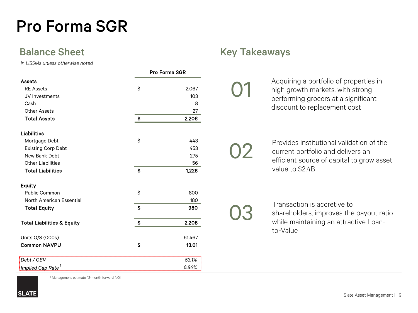### Pro Forma SGR

*In US\$Ms unless otherwise noted*

|                                       | <b>Pro Forma SGR</b> |        |
|---------------------------------------|----------------------|--------|
| <b>Assets</b>                         |                      |        |
| <b>RE</b> Assets                      | \$                   | 2,067  |
| JV Investments                        |                      | 103    |
| Cash                                  |                      | 8      |
| <b>Other Assets</b>                   |                      | 27     |
| <b>Total Assets</b>                   | $\mathsf{S}$         | 2,206  |
| <b>Liabilities</b>                    |                      |        |
| Mortgage Debt                         | \$                   | 443    |
| <b>Existing Corp Debt</b>             |                      | 453    |
| New Bank Debt                         |                      | 275    |
| <b>Other Liabilities</b>              |                      | 56     |
| <b>Total Liabilities</b>              | Ŝ                    | 1,226  |
| <b>Equity</b>                         |                      |        |
| Public Common                         | \$                   | 800    |
| North American Essential              |                      | 180    |
| <b>Total Equity</b>                   | $\mathsf{S}$         | 980    |
| <b>Total Liabilities &amp; Equity</b> | \$                   | 2,206  |
|                                       |                      |        |
| Units O/S (000s)                      |                      | 61,467 |
| <b>Common NAVPU</b>                   | \$                   | 13.01  |
| Debt / GBV                            |                      | 53.1%  |
| Implied Cap Rate $^{\mathrm{1}}$      |                      | 6.84%  |

### Balance Sheet Key Takeaways

Acquiring a portfolio of properties in high growth markets, with strong performing grocers at a significant discount to replacement cost

# 02

01

Provides institutional validation of the current portfolio and delivers an efficient source of capital to grow asset value to \$2.4B

03

Transaction is accretive to shareholders, improves the payout ratio while maintaining an attractive Loanto-Value



<sup>1</sup> Management estimate 12-month forward NOI